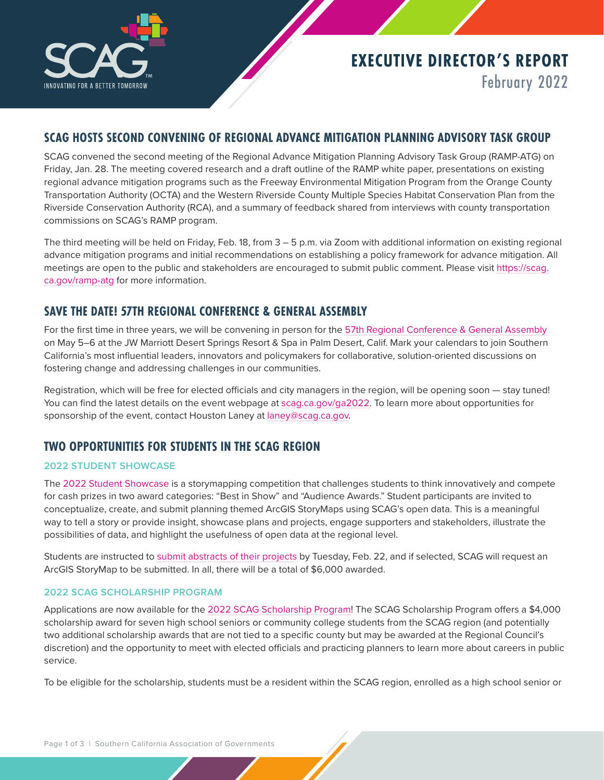

# **EXECUTIVE DIRECTOR'S REPORT** February 2022

### **SCAG HOSTS SECOND CONVENING OF REGIONAL ADVANCE MITIGATION PLANNING ADVISORY TASK GROUP**

SCAG convened the second meeting of the Regional Advance Mitigation Planning Advisory Task Group (RAMP-ATG) on Friday, Jan. 28. The meeting covered research and a draft outline of the RAMP white paper, presentations on existing regional advance mitigation programs such as the Freeway Environmental Mitigation Program from the Orange County Transportation Authority (OCTA) and the Western Riverside County Multiple Species Habitat Conservation Plan from the Riverside Conservation Authority (RCA), and a summary of feedback shared from interviews with county transportation commissions on SCAG's RAMP program.

The third meeting will be held on Friday, Feb. 18, from 3 – 5 p.m. via Zoom with additional information on existing regional advance mitigation programs and initial recommendations on establishing a policy framework for advance mitigation. All meetings are open to the public and stakeholders are encouraged to submit public comment. Please visit [https://scag.](https://scag.ca.gov/ramp-atg) [ca.gov/ramp-atg](https://scag.ca.gov/ramp-atg) for more information.

### **SAVE THE DATE! 57TH REGIONAL CONFERENCE & GENERAL ASSEMBLY**

For the first time in three years, we will be convening in person for the [57th Regional Conference & General Assembly](https://scag.ca.gov/ga2022) on May 5–6 at the JW Marriott Desert Springs Resort & Spa in Palm Desert, Calif. Mark your calendars to join Southern California's most influential leaders, innovators and policymakers for collaborative, solution-oriented discussions on fostering change and addressing challenges in our communities.

Registration, which will be free for elected officials and city managers in the region, will be opening soon — stay tuned! You can find the latest details on the event webpage at [scag.ca.gov/ga2022.](https://scag.ca.gov/ga2022) To learn more about opportunities for sponsorship of the event, contact Houston Laney at [laney@scag.ca.gov](mailto:laney%40scag.ca.gov?subject=GA%20Sponsorship).

### **TWO OPPORTUNITIES FOR STUDENTS IN THE SCAG REGION**

#### **2022 STUDENT SHOWCASE**

The [2022 Student Showcase](https://scag.ca.gov/student-showcase) is a storymapping competition that challenges students to think innovatively and compete for cash prizes in two award categories: "Best in Show" and "Audience Awards." Student participants are invited to conceptualize, create, and submit planning themed ArcGIS StoryMaps using SCAG's open data. This is a meaningful way to tell a story or provide insight, showcase plans and projects, engage supporters and stakeholders, illustrate the possibilities of data, and highlight the usefulness of open data at the regional level.

Students are instructed to [submit abstracts of their projects](https://form.jotform.com/220247231182041) by Tuesday, Feb. 22, and if selected, SCAG will request an ArcGIS StoryMap to be submitted. In all, there will be a total of \$6,000 awarded.

#### **2022 SCAG SCHOLARSHIP PROGRAM**

Applications are now available for the [2022 SCAG Scholarship Program!](https://scag.ca.gov/scholarship) The SCAG Scholarship Program offers a \$4,000 scholarship award for seven high school seniors or community college students from the SCAG region (and potentially two additional scholarship awards that are not tied to a specific county but may be awarded at the Regional Council's discretion) and the opportunity to meet with elected officials and practicing planners to learn more about careers in public service.

To be eligible for the scholarship, students must be a resident within the SCAG region, enrolled as a high school senior or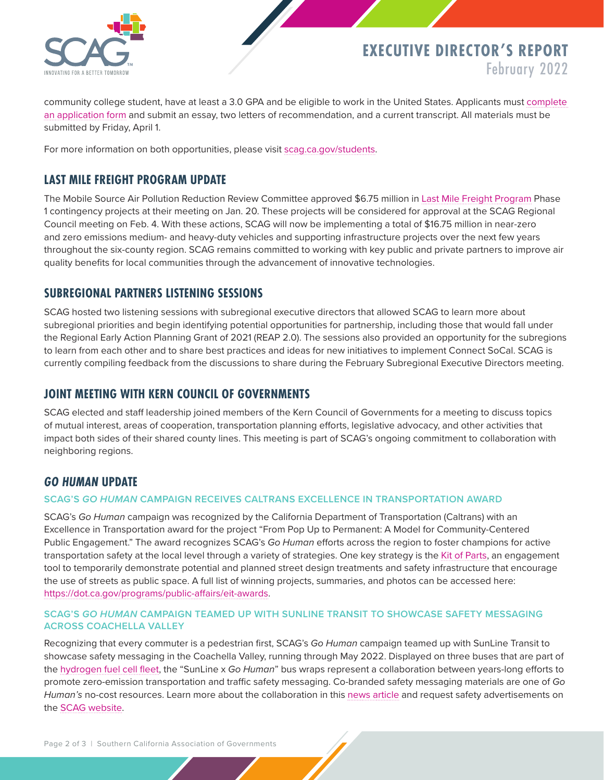

## **EXECUTIVE DIRECTOR'S REPORT** February 2022

community college student, have at least a 3.0 GPA and be eligible to work in the United States. Applicants must [complete](https://form.jotform.com/220105002680134)  [an application form](https://form.jotform.com/220105002680134) and submit an essay, two letters of recommendation, and a current transcript. All materials must be submitted by Friday, April 1.

For more information on both opportunities, please visit [scag.ca.gov/students](https://scag.ca.gov/get-involved-students).

### **LAST MILE FREIGHT PROGRAM UPDATE**

The Mobile Source Air Pollution Reduction Review Committee approved \$6.75 million in [Last Mile Freight Program](https://scag.ca.gov/LMFP) Phase 1 contingency projects at their meeting on Jan. 20. These projects will be considered for approval at the SCAG Regional Council meeting on Feb. 4. With these actions, SCAG will now be implementing a total of \$16.75 million in near-zero and zero emissions medium- and heavy-duty vehicles and supporting infrastructure projects over the next few years throughout the six-county region. SCAG remains committed to working with key public and private partners to improve air quality benefits for local communities through the advancement of innovative technologies.

### **SUBREGIONAL PARTNERS LISTENING SESSIONS**

SCAG hosted two listening sessions with subregional executive directors that allowed SCAG to learn more about subregional priorities and begin identifying potential opportunities for partnership, including those that would fall under the Regional Early Action Planning Grant of 2021 (REAP 2.0). The sessions also provided an opportunity for the subregions to learn from each other and to share best practices and ideas for new initiatives to implement Connect SoCal. SCAG is currently compiling feedback from the discussions to share during the February Subregional Executive Directors meeting.

### **JOINT MEETING WITH KERN COUNCIL OF GOVERNMENTS**

SCAG elected and staff leadership joined members of the Kern Council of Governments for a meeting to discuss topics of mutual interest, areas of cooperation, transportation planning efforts, legislative advocacy, and other activities that impact both sides of their shared county lines. This meeting is part of SCAG's ongoing commitment to collaboration with neighboring regions.

### *GO HUMAN* **UPDATE**

#### **SCAG'S** *GO HUMAN* **CAMPAIGN RECEIVES CALTRANS EXCELLENCE IN TRANSPORTATION AWARD**

SCAG's *Go Human* campaign was recognized by the California Department of Transportation (Caltrans) with an Excellence in Transportation award for the project "From Pop Up to Permanent: A Model for Community-Centered Public Engagement." The award recognizes SCAG's *Go Human* efforts across the region to foster champions for active transportation safety at the local level through a variety of strategies. One key strategy is the [Kit of Parts,](https://scag.ca.gov/borrow-kit-parts) an engagement tool to temporarily demonstrate potential and planned street design treatments and safety infrastructure that encourage the use of streets as public space. A full list of winning projects, summaries, and photos can be accessed here: <https://dot.ca.gov/programs/public-affairs/eit-awards>.

#### **SCAG'S** *GO HUMAN* **CAMPAIGN TEAMED UP WITH SUNLINE TRANSIT TO SHOWCASE SAFETY MESSAGING ACROSS COACHELLA VALLEY**

Recognizing that every commuter is a pedestrian first, SCAG's *Go Human* campaign teamed up with SunLine Transit to showcase safety messaging in the Coachella Valley, running through May 2022. Displayed on three buses that are part of the [hydrogen fuel cell fleet](https://www.sunline.org/projects/alternative-fuels/clean-fleet), the "SunLine x *Go Human*" bus wraps represent a collaboration between years-long efforts to promote zero-emission transportation and traffic safety messaging. Co-branded safety messaging materials are one of *Go Human's* no-cost resources. Learn more about the collaboration in this [news article](https://www.intelligenttransport.com/transport-news/132582/sunline-transit-agency-liquid-hydrogen-pump/) and request safety advertisements on the [SCAG website.](https://scag.ca.gov/go-human-safety-campaign)

Page 2 of 3 | Southern California Association of Governments